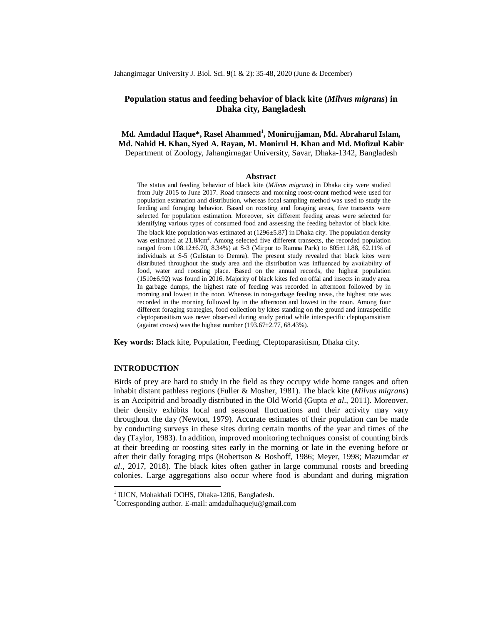Jahangirnagar University J. Biol. Sci. **9**(1 & 2): 35-48, 2020 (June & December)

# **Population status and feeding behavior of black kite (***Milvus migrans***) in Dhaka city, Bangladesh**

**Md. Amdadul Haque\*, Rasel Ahammed<sup>1</sup> , Monirujjaman, Md. Abraharul Islam, Md. Nahid H. Khan, Syed A. Rayan, M. Monirul H. Khan and Md. Mofizul Kabir** Department of Zoology, Jahangirnagar University, Savar, Dhaka-1342, Bangladesh

#### **Abstract**

The status and feeding behavior of black kite (*Milvus migrans*) in Dhaka city were studied from July 2015 to June 2017. Road transects and morning roost-count method were used for population estimation and distribution, whereas focal sampling method was used to study the feeding and foraging behavior. Based on roosting and foraging areas, five transects were selected for population estimation. Moreover, six different feeding areas were selected for identifying various types of consumed food and assessing the feeding behavior of black kite. The black kite population was estimated at (1296±5.87) in Dhaka city. The population density was estimated at 21.8/km<sup>2</sup>. Among selected five different transects, the recorded population ranged from 108.12±6.70, 8.34%) at S-3 (Mirpur to Ramna Park) to 805±11.88, 62.11% of individuals at S-5 (Gulistan to Demra). The present study revealed that black kites were distributed throughout the study area and the distribution was influenced by availability of food, water and roosting place. Based on the annual records, the highest population (1510±6.92) was found in 2016. Majority of black kites fed on offal and insects in study area. In garbage dumps, the highest rate of feeding was recorded in afternoon followed by in morning and lowest in the noon. Whereas in non-garbage feeding areas, the highest rate was recorded in the morning followed by in the afternoon and lowest in the noon. Among four different foraging strategies, food collection by kites standing on the ground and intraspecific cleptoparasitism was never observed during study period while interspecific cleptoparasitism (against crows) was the highest number (193.67 $\pm$ 2.77, 68.43%).

**Key words:** Black kite, Population, Feeding, Cleptoparasitism, Dhaka city.

# **INTRODUCTION**

 $\overline{a}$ 

Birds of prey are hard to study in the field as they occupy wide home ranges and often inhabit distant pathless regions (Fuller & Mosher, 1981). The black kite (*Milvus migrans*) is an Accipitrid and broadly distributed in the Old World (Gupta *et al*., 2011). Moreover, their density exhibits local and seasonal fluctuations and their activity may vary throughout the day (Newton, 1979). Accurate estimates of their population can be made by conducting surveys in these sites during certain months of the year and times of the day (Taylor, 1983). In addition, improved monitoring techniques consist of counting birds at their breeding or roosting sites early in the morning or late in the evening before or after their daily foraging trips (Robertson & Boshoff, 1986; Meyer, 1998; Mazumdar *et al*., 2017, 2018). The black kites often gather in large communal roosts and breeding colonies. Large aggregations also occur where food is abundant and during migration

<sup>&</sup>lt;sup>1</sup> IUCN, Mohakhali DOHS, Dhaka-1206, Bangladesh.

**<sup>\*</sup>**Corresponding author. E-mail: amdadulhaqueju@gmail.com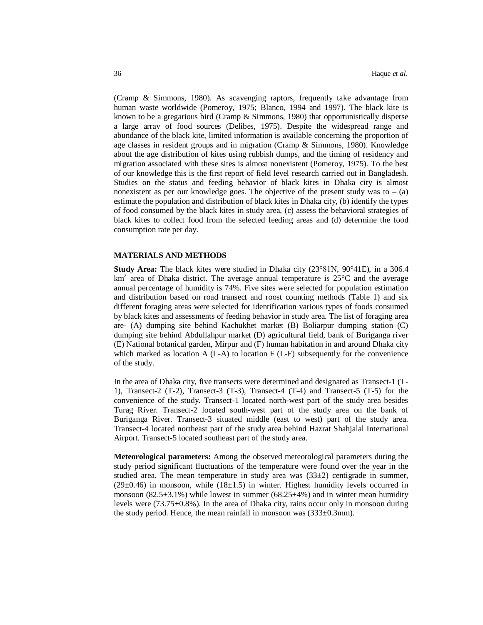(Cramp & Simmons, 1980). As scavenging raptors, frequently take advantage from human waste worldwide (Pomeroy, 1975; Blanco, 1994 and 1997). The black kite is known to be a gregarious bird (Cramp & Simmons, 1980) that opportunistically disperse a large array of food sources (Delibes, 1975). Despite the widespread range and abundance of the black kite, limited information is available concerning the proportion of age classes in resident groups and in migration (Cramp & Simmons, 1980). Knowledge about the age distribution of kites using rubbish dumps, and the timing of residency and migration associated with these sites is almost nonexistent (Pomeroy, 1975). To the best of our knowledge this is the first report of field level research carried out in Bangladesh. Studies on the status and feeding behavior of black kites in Dhaka city is almost nonexistent as per our knowledge goes. The objective of the present study was to  $-$  (a) estimate the population and distribution of black kites in Dhaka city, (b) identify the types of food consumed by the black kites in study area, (c) assess the behavioral strategies of black kites to collect food from the selected feeding areas and (d) determine the food consumption rate per day.

### **MATERIALS AND METHODS**

**Study Area:** The black kites were studied in Dhaka city (23°81N, 90°41E), in a 306.4  $km<sup>2</sup>$  area of Dhaka district. The average annual temperature is 25 $\degree$ C and the average annual percentage of humidity is 74%. Five sites were selected for population estimation and distribution based on road transect and roost counting methods (Table 1) and six different foraging areas were selected for identification various types of foods consumed by black kites and assessments of feeding behavior in study area. The list of foraging area are- (A) dumping site behind Kachukhet market (B) Boliarpur dumping station (C) dumping site behind Abdullahpur market (D) agricultural field, bank of Buriganga river (E) National botanical garden, Mirpur and (F) human habitation in and around Dhaka city which marked as location  $A (L-A)$  to location  $F (L-F)$  subsequently for the convenience of the study.

In the area of Dhaka city, five transects were determined and designated as Transect-1 (T-1), Transect-2 (T-2), Transect-3 (T-3), Transect-4 (T-4) and Transect-5 (T-5) for the convenience of the study. Transect-1 located north-west part of the study area besides Turag River. Transect-2 located south-west part of the study area on the bank of Buriganga River. Transect-3 situated middle (east to west) part of the study area. Transect-4 located northeast part of the study area behind Hazrat Shahjalal International Airport. Transect-5 located southeast part of the study area.

**Meteorological parameters:** Among the observed meteorological parameters during the study period significant fluctuations of the temperature were found over the year in the studied area. The mean temperature in study area was  $(33\pm 2)$  centigrade in summer,  $(29\pm0.46)$  in monsoon, while  $(18\pm1.5)$  in winter. Highest humidity levels occurred in monsoon  $(82.5\pm3.1\%)$  while lowest in summer  $(68.25\pm4\%)$  and in winter mean humidity levels were  $(73.75\pm0.8\%)$ . In the area of Dhaka city, rains occur only in monsoon during the study period. Hence, the mean rainfall in monsoon was  $(333\pm0.3$ mm).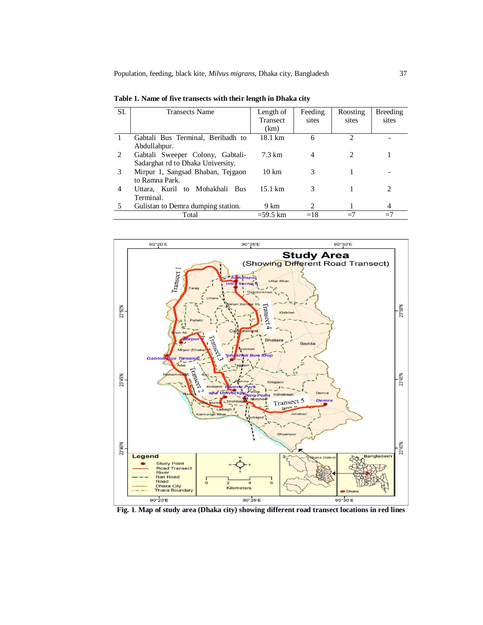| SI. | <b>Transects Name</b>              | Length of         | Feeding       | Roosting                      | Breeding                    |
|-----|------------------------------------|-------------------|---------------|-------------------------------|-----------------------------|
|     |                                    | <b>Transect</b>   | sites         | sites                         | sites                       |
|     |                                    | (km)              |               |                               |                             |
|     | Gabtali Bus Terminal, Beribadh to  | 18.1 km           | 6             | $\mathfrak{D}_{\mathfrak{p}}$ |                             |
|     | Abdullahpur.                       |                   |               |                               |                             |
| 2   | Gabtali Sweeper Colony, Gabtali-   | 7.3 km            | 4             |                               |                             |
|     | Sadarghat rd to Dhaka University.  |                   |               |                               |                             |
| 3   | Mirpur 1, Sangsad Bhaban, Tejgaon  | $10 \mathrm{km}$  | 3             |                               |                             |
|     | to Ramna Park.                     |                   |               |                               |                             |
| 4   | Uttara, Kuril to Mohakhali Bus     | $15.1 \text{ km}$ | 3             |                               | $\mathcal{D}_{\mathcal{L}}$ |
|     | Terminal.                          |                   |               |                               |                             |
|     | Gulistan to Demra dumping station. | 9 km              | $\mathcal{L}$ |                               | 4                           |
|     | Total                              | $=59.5$ km        | $=18$         | $=7$                          | $=7$                        |

**Table 1. Name of five transects with their length in Dhaka city**



**Fig. 1**. **Map of study area (Dhaka city) showing different road transect locations in red lines**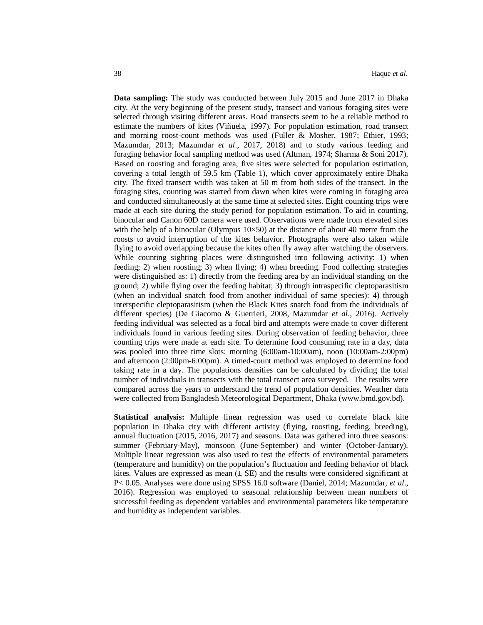**Data sampling:** The study was conducted between July 2015 and June 2017 in Dhaka city. At the very beginning of the present study, transect and various foraging sites were selected through visiting different areas. Road transects seem to be a reliable method to estimate the numbers of kites (Viñuela, 1997). For population estimation, road transect and morning roost-count methods was used (Fuller & Mosher, 1987; Ethier, 1993; Mazumdar, 2013; Mazumdar *et al*., 2017, 2018) and to study various feeding and foraging behavior focal sampling method was used (Altman, 1974; Sharma & Soni 2017). Based on roosting and foraging area, five sites were selected for population estimation, covering a total length of 59.5 km (Table 1), which cover approximately entire Dhaka city. The fixed transect width was taken at 50 m from both sides of the transect. In the foraging sites, counting was started from dawn when kites were coming in foraging area and conducted simultaneously at the same time at selected sites. Eight counting trips were made at each site during the study period for population estimation. To aid in counting, binocular and Canon 60D camera were used. Observations were made from elevated sites with the help of a binocular (Olympus  $10\times50$ ) at the distance of about 40 metre from the roosts to avoid interruption of the kites behavior. Photographs were also taken while flying to avoid overlapping because the kites often fly away after watching the observers. While counting sighting places were distinguished into following activity: 1) when feeding; 2) when roosting; 3) when flying; 4) when breeding. Food collecting strategies were distinguished as: 1) directly from the feeding area by an individual standing on the ground; 2) while flying over the feeding habitat; 3) through intraspecific cleptoparasitism (when an individual snatch food from another individual of same species): 4) through interspecific cleptoparasitism (when the Black Kites snatch food from the individuals of different species) (De Giacomo & Guerrieri, 2008, Mazumdar *et al*., 2016). Actively feeding individual was selected as a focal bird and attempts were made to cover different individuals found in various feeding sites. During observation of feeding behavior, three counting trips were made at each site. To determine food consuming rate in a day, data was pooled into three time slots: morning (6:00am-10:00am), noon (10:00am-2:00pm) and afternoon (2:00pm-6:00pm). A timed-count method was employed to determine food taking rate in a day. The populations densities can be calculated by dividing the total number of individuals in transects with the total transect area surveyed. The results were compared across the years to understand the trend of population densities. Weather data were collected from Bangladesh Meteorological Department, Dhaka (www.bmd.gov.bd).

**Statistical analysis:** Multiple linear regression was used to correlate black kite population in Dhaka city with different activity (flying, roosting, feeding, breeding), annual fluctuation (2015, 2016, 2017) and seasons. Data was gathered into three seasons: summer (February-May), monsoon (June-September) and winter (October-January). Multiple linear regression was also used to test the effects of environmental parameters (temperature and humidity) on the population's fluctuation and feeding behavior of black kites. Values are expressed as mean  $(\pm S\mathbf{E})$  and the results were considered significant at P< 0.05. Analyses were done using SPSS 16.0 software (Daniel, 2014; Mazumdar, *et al*., 2016). Regression was employed to seasonal relationship between mean numbers of successful feeding as dependent variables and environmental parameters like temperature and humidity as independent variables.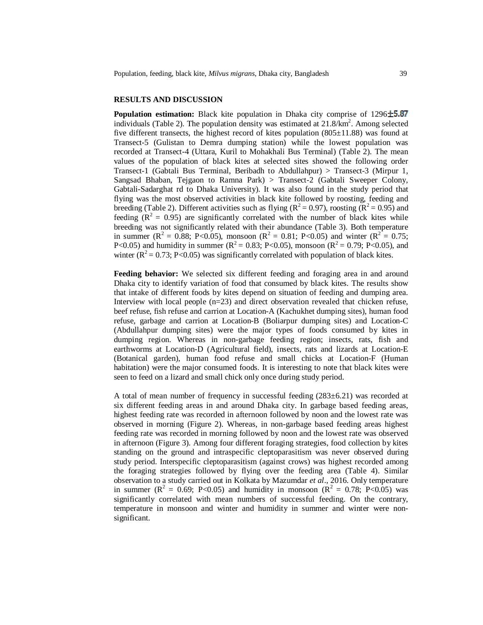# **RESULTS AND DISCUSSION**

**Population estimation:** Black kite population in Dhaka city comprise of 1296 $\pm$ 5.87 individuals (Table 2). The population density was estimated at  $21.8/km^2$ . Among selected five different transects, the highest record of kites population  $(805\pm11.88)$  was found at Transect-5 (Gulistan to Demra dumping station) while the lowest population was recorded at Transect-4 (Uttara, Kuril to Mohakhali Bus Terminal) (Table 2). The mean values of the population of black kites at selected sites showed the following order Transect-1 (Gabtali Bus Terminal, Beribadh to Abdullahpur) > Transect-3 (Mirpur 1, Sangsad Bhaban, Tejgaon to Ramna Park) > Transect-2 (Gabtali Sweeper Colony, Gabtali-Sadarghat rd to Dhaka University). It was also found in the study period that flying was the most observed activities in black kite followed by roosting, feeding and breeding (Table 2). Different activities such as flying ( $R^2 = 0.97$ ), roosting ( $R^2 = 0.95$ ) and feeding  $(R^2 = 0.95)$  are significantly correlated with the number of black kites while breeding was not significantly related with their abundance (Table 3). Both temperature in summer ( $R^2 = 0.88$ ; P<0.05), monsoon ( $R^2 = 0.81$ ; P<0.05) and winter ( $R^2 = 0.75$ ; P<0.05) and humidity in summer ( $R^2 = 0.83$ ; P<0.05), monsoon ( $R^2 = 0.79$ ; P<0.05), and winter ( $R^2 = 0.73$ ; P<0.05) was significantly correlated with population of black kites.

**Feeding behavior:** We selected six different feeding and foraging area in and around Dhaka city to identify variation of food that consumed by black kites. The results show that intake of different foods by kites depend on situation of feeding and dumping area. Interview with local people (n=23) and direct observation revealed that chicken refuse, beef refuse, fish refuse and carrion at Location-A (Kachukhet dumping sites), human food refuse, garbage and carrion at Location-B (Boliarpur dumping sites) and Location-C (Abdullahpur dumping sites) were the major types of foods consumed by kites in dumping region. Whereas in non-garbage feeding region; insects, rats, fish and earthworms at Location-D (Agricultural field), insects, rats and lizards at Location-E (Botanical garden), human food refuse and small chicks at Location-F (Human habitation) were the major consumed foods. It is interesting to note that black kites were seen to feed on a lizard and small chick only once during study period.

A total of mean number of frequency in successful feeding (283±6.21) was recorded at six different feeding areas in and around Dhaka city. In garbage based feeding areas, highest feeding rate was recorded in afternoon followed by noon and the lowest rate was observed in morning (Figure 2). Whereas, in non-garbage based feeding areas highest feeding rate was recorded in morning followed by noon and the lowest rate was observed in afternoon (Figure 3). Among four different foraging strategies, food collection by kites standing on the ground and intraspecific cleptoparasitism was never observed during study period. Interspecific cleptoparasitism (against crows) was highest recorded among the foraging strategies followed by flying over the feeding area (Table 4). Similar observation to a study carried out in Kolkata by Mazumdar *et al*., 2016. Only temperature in summer ( $R^2 = 0.69$ ; P<0.05) and humidity in monsoon ( $R^2 = 0.78$ ; P<0.05) was significantly correlated with mean numbers of successful feeding. On the contrary, temperature in monsoon and winter and humidity in summer and winter were nonsignificant.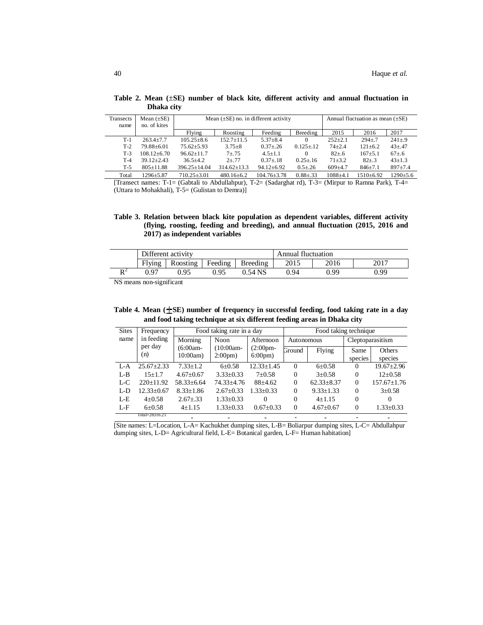| Transects<br>name | Mean $(\pm SE)$<br>no. of kites | Mean $(\pm SE)$ no. in different activity | Annual fluctuation as mean $(\pm SE)$ |                  |                  |              |               |              |
|-------------------|---------------------------------|-------------------------------------------|---------------------------------------|------------------|------------------|--------------|---------------|--------------|
|                   |                                 | Feeding<br>Breeding<br>Flying<br>Roosting |                                       | 2015             | 2016             | 2017         |               |              |
| $T-1$             | $263.4 + 7.7$                   | $105.25 + 8.6$                            | $152.7 + 11.5$                        | $5.37 + 8.4$     | 0                | $252+2.1$    | $294 + 7$     | $241 + 9$    |
| $T-2$             | 79.88+6.01                      | $75.62 \pm 5.93$                          | $3.75 + 8$                            | $0.37 + 26$      | $0.125 \pm 0.12$ | $74 + 2.4$   | $121 \pm 6.2$ | $43 + 47$    |
| $T-3$             | $108.12 + 6.70$                 | $96.62 + 11.7$                            | $7 + 75$                              | $4.5 + 1.1$      | 0                | $82 + .6$    | $167 + 5.1$   | $67 + 6$     |
| $T-4$             | $39.12 + 2.43$                  | $36.5 + 4.2$                              | $2 + 77$                              | $0.37 + 18$      | $0.25 + 16$      | $71 + 3.2$   | $82{\pm}.3$   | $43 + 1.3$   |
| $T-5$             | $805+11.88$                     | $396.25 + 14.04$                          | $314.62 \pm 13.3$                     | $94.12 \pm 6.92$ | $0.5 + 26$       | $609+4.7$    | $846 \pm 7.1$ | $897 + 7.4$  |
| Total             | $1296 + 5.87$                   | $710.25 + 3.01$                           | $480.16 + 6.2$                        | $104.76 + 3.78$  | $0.88 \pm 0.33$  | $1088 + 4.1$ | $1510+6.92$   | $1290 + 5.6$ |

**Table 2. Mean (**±**SE) number of black kite, different activity and annual fluctuation in Dhaka city**

[Transect names: T-1= (Gabtali to Abdullahpur), T-2= (Sadarghat rd), T-3= (Mirpur to Ramna Park), T-4= (Uttara to Mohakhali), T-5= (Gulistan to Demra)]

**Table 3. Relation between black kite population as dependent variables, different activity (flying, roosting, feeding and breeding), and annual fluctuation (2015, 2016 and 2017) as independent variables**

|                      |                        | Different activity |         |           | <b>Annual fluctuation</b> |      |      |  |
|----------------------|------------------------|--------------------|---------|-----------|---------------------------|------|------|--|
|                      | Flying                 | Roosting           | Feeding | Breeding  | 2015                      | 2016 | 2017 |  |
| $\mathbf{L}$         | 0.97                   | 0.95               | 0.95    | $0.54$ NS | ገ 94                      | 0.99 | 0.99 |  |
| $\sim$ $\sim$ $\sim$ | $\cdot$ $\cdot$ $\sim$ |                    |         |           |                           |      |      |  |

NS means non-significant

**Table 4. Mean ( SE) number of frequency in successful feeding, food taking rate in a day and food taking technique at six different feeding areas in Dhaka city**

| <b>Sites</b> | Frequency        | Food taking rate in a day |                  |                  | Food taking technique |                  |                  |                   |
|--------------|------------------|---------------------------|------------------|------------------|-----------------------|------------------|------------------|-------------------|
| name         | in feeding       | Morning                   | <b>Noon</b>      | Afternoon        | Autonomous            |                  | Cleptoparasitism |                   |
|              | per day<br>(n)   | $(6:00am -$               | $(10:00am -$     | $(2:00pm -$      | Ground                | Flying           | Same             | Others            |
|              |                  | 10:00am                   | $2:00 \text{pm}$ | $6:00 \text{pm}$ |                       |                  | species          | species           |
| $L - A$      | $25.67 \pm 2.33$ | $7.33 + 1.2$              | $6 \pm 0.58$     | $12.33 \pm 1.45$ | $\Omega$              | $6 \pm 0.58$     | $\Omega$         | $19.67 \pm 2.96$  |
| $L-B$        | $15+1.7$         | $4.67 \pm 0.67$           | $3.33 \pm 0.33$  | $7 \pm 0.58$     | $\Omega$              | $3 \pm 0.58$     | $\Omega$         | $12 \pm 0.58$     |
| $L-C$        | 220±11.92        | $58.33 \pm 6.64$          | 74.33±4.76       | $88+4.62$        | $\overline{0}$        | $62.33 \pm 8.37$ | $\Omega$         | $157.67 \pm 1.76$ |
| $L-D$        | $12.33 \pm 0.67$ | $8.33 \pm 1.86$           | $2.67 \pm 0.33$  | $1.33 \pm 0.33$  | $\overline{0}$        | $9.33 \pm 1.33$  | $\Omega$         | $3 \pm 0.58$      |
| $L-E$        | $4 \pm 0.58$     | $2.67 \pm .33$            | $1.33 \pm 0.33$  | $\Omega$         | $\Omega$              | $4+1.15$         | $\Omega$         | $\Omega$          |
| $L - F$      | $6+0.58$         | $4+1.15$                  | $1.33 + 0.33$    | $0.67 + 0.33$    | $\Omega$              | $4.67 \pm 0.67$  | $\Omega$         | $1.33 \pm 0.33$   |
|              | Tota⊨283±6.21    |                           |                  |                  |                       |                  |                  |                   |

[Site names: L=Location, L-A= Kachukhet dumping sites, L-B= Boliarpur dumping sites, L-C= Abdullahpur dumping sites, L-D= Agricultural field, L-E= Botanical garden, L-F= Human habitation]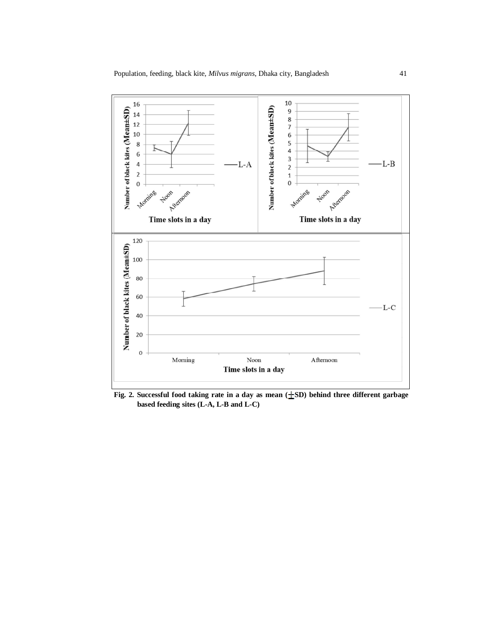

**Fig. 2. Successful food taking rate in a day as mean ( SD) behind three different garbage based feeding sites (L-A, L-B and L-C)**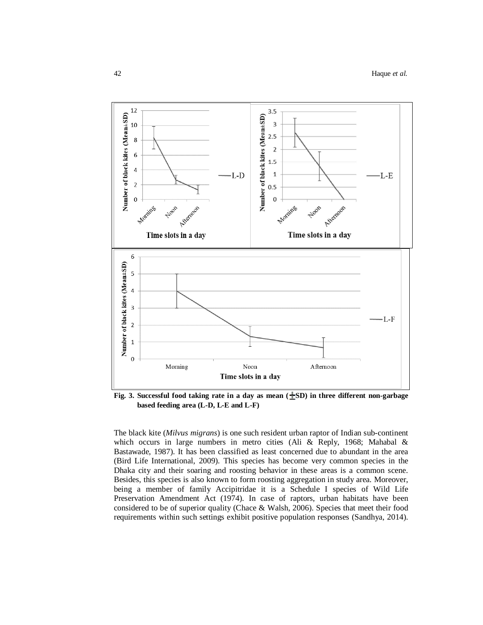

**Fig. 3. Successful food taking rate in a day as mean ( SD) in three different non-garbage based feeding area (L-D, L-E and L-F)**

The black kite (*Milvus migrans*) is one such resident urban raptor of Indian sub-continent which occurs in large numbers in metro cities (Ali & Reply, 1968; Mahabal & Bastawade, 1987). It has been classified as least concerned due to abundant in the area (Bird Life International, 2009). This species has become very common species in the Dhaka city and their soaring and roosting behavior in these areas is a common scene. Besides, this species is also known to form roosting aggregation in study area. Moreover, being a member of family Accipitridae it is a Schedule I species of Wild Life Preservation Amendment Act (1974). In case of raptors, urban habitats have been considered to be of superior quality (Chace & Walsh, 2006). Species that meet their food requirements within such settings exhibit positive population responses (Sandhya, 2014).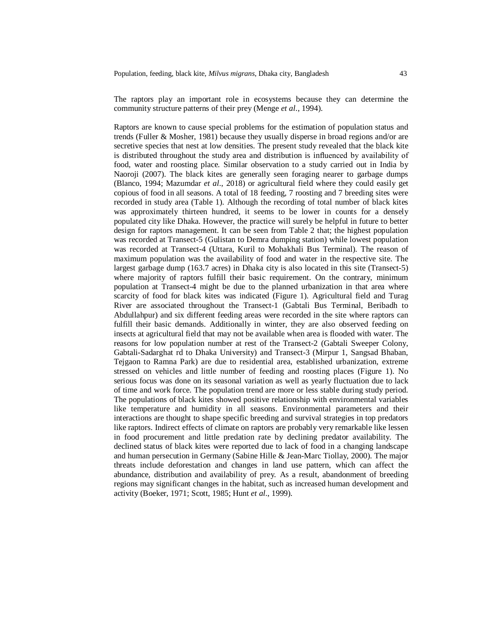The raptors play an important role in ecosystems because they can determine the community structure patterns of their prey (Menge *et al*., 1994).

Raptors are known to cause special problems for the estimation of population status and trends (Fuller & Mosher, 1981) because they usually disperse in broad regions and/or are secretive species that nest at low densities. The present study revealed that the black kite is distributed throughout the study area and distribution is influenced by availability of food, water and roosting place. Similar observation to a study carried out in India by Naoroji (2007). The black kites are generally seen foraging nearer to garbage dumps (Blanco, 1994; Mazumdar *et al*., 2018) or agricultural field where they could easily get copious of food in all seasons. A total of 18 feeding, 7 roosting and 7 breeding sites were recorded in study area (Table 1). Although the recording of total number of black kites was approximately thirteen hundred, it seems to be lower in counts for a densely populated city like Dhaka. However, the practice will surely be helpful in future to better design for raptors management. It can be seen from Table 2 that; the highest population was recorded at Transect-5 (Gulistan to Demra dumping station) while lowest population was recorded at Transect-4 (Uttara, Kuril to Mohakhali Bus Terminal). The reason of maximum population was the availability of food and water in the respective site. The largest garbage dump (163.7 acres) in Dhaka city is also located in this site (Transect-5) where majority of raptors fulfill their basic requirement. On the contrary, minimum population at Transect-4 might be due to the planned urbanization in that area where scarcity of food for black kites was indicated (Figure 1). Agricultural field and Turag River are associated throughout the Transect-1 (Gabtali Bus Terminal, Beribadh to Abdullahpur) and six different feeding areas were recorded in the site where raptors can fulfill their basic demands. Additionally in winter, they are also observed feeding on insects at agricultural field that may not be available when area is flooded with water. The reasons for low population number at rest of the Transect-2 (Gabtali Sweeper Colony, Gabtali-Sadarghat rd to Dhaka University) and Transect-3 (Mirpur 1, Sangsad Bhaban, Tejgaon to Ramna Park) are due to residential area, established urbanization, extreme stressed on vehicles and little number of feeding and roosting places (Figure 1). No serious focus was done on its seasonal variation as well as yearly fluctuation due to lack of time and work force. The population trend are more or less stable during study period. The populations of black kites showed positive relationship with environmental variables like temperature and humidity in all seasons. Environmental parameters and their interactions are thought to shape specific breeding and survival strategies in top predators like raptors. Indirect effects of climate on raptors are probably very remarkable like lessen in food procurement and little predation rate by declining predator availability. The declined status of black kites were reported due to lack of food in a changing landscape and human persecution in Germany (Sabine Hille & Jean-Marc Tiollay, 2000). The major threats include deforestation and changes in land use pattern, which can affect the abundance, distribution and availability of prey. As a result, abandonment of breeding regions may significant changes in the habitat, such as increased human development and activity (Boeker, 1971; Scott, 1985; Hunt *et al*., 1999).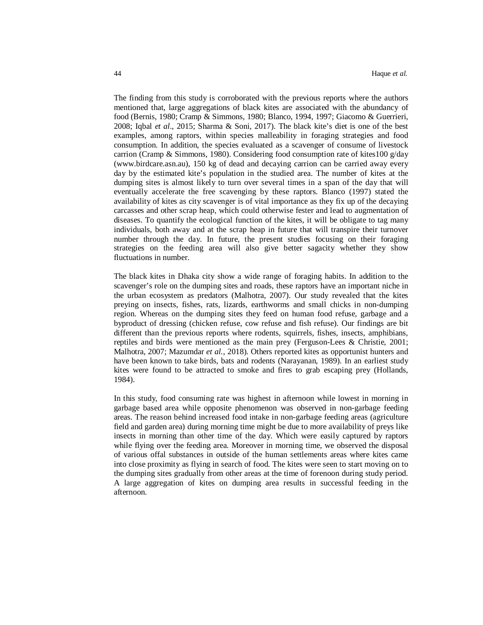The finding from this study is corroborated with the previous reports where the authors mentioned that, large aggregations of black kites are associated with the abundancy of food (Bernis, 1980; Cramp & Simmons, 1980; Blanco, 1994, 1997; Giacomo & Guerrieri, 2008; Iqbal *et al*., 2015; Sharma & Soni, 2017). The black kite's diet is one of the best examples, among raptors, within species malleability in foraging strategies and food consumption. In addition, the species evaluated as a scavenger of consume of livestock carrion (Cramp & Simmons, 1980). Considering food consumption rate of kites100 g/day (www.birdcare.asn.au), 150 kg of dead and decaying carrion can be carried away every day by the estimated kite's population in the studied area. The number of kites at the dumping sites is almost likely to turn over several times in a span of the day that will eventually accelerate the free scavenging by these raptors. Blanco (1997) stated the availability of kites as city scavenger is of vital importance as they fix up of the decaying carcasses and other scrap heap, which could otherwise fester and lead to augmentation of diseases. To quantify the ecological function of the kites, it will be obligate to tag many individuals, both away and at the scrap heap in future that will transpire their turnover number through the day. In future, the present studies focusing on their foraging strategies on the feeding area will also give better sagacity whether they show fluctuations in number.

The black kites in Dhaka city show a wide range of foraging habits. In addition to the scavenger's role on the dumping sites and roads, these raptors have an important niche in the urban ecosystem as predators (Malhotra, 2007). Our study revealed that the kites preying on insects, fishes, rats, lizards, earthworms and small chicks in non-dumping region. Whereas on the dumping sites they feed on human food refuse, garbage and a byproduct of dressing (chicken refuse, cow refuse and fish refuse). Our findings are bit different than the previous reports where rodents, squirrels, fishes, insects, amphibians, reptiles and birds were mentioned as the main prey (Ferguson-Lees & Christie, 2001; Malhotra, 2007; Mazumdar *et al*., 2018). Others reported kites as opportunist hunters and have been known to take birds, bats and rodents (Narayanan, 1989). In an earliest study kites were found to be attracted to smoke and fires to grab escaping prey (Hollands, 1984).

In this study, food consuming rate was highest in afternoon while lowest in morning in garbage based area while opposite phenomenon was observed in non-garbage feeding areas. The reason behind increased food intake in non-garbage feeding areas (agriculture field and garden area) during morning time might be due to more availability of preys like insects in morning than other time of the day. Which were easily captured by raptors while flying over the feeding area. Moreover in morning time, we observed the disposal of various offal substances in outside of the human settlements areas where kites came into close proximity as flying in search of food. The kites were seen to start moving on to the dumping sites gradually from other areas at the time of forenoon during study period. A large aggregation of kites on dumping area results in successful feeding in the afternoon.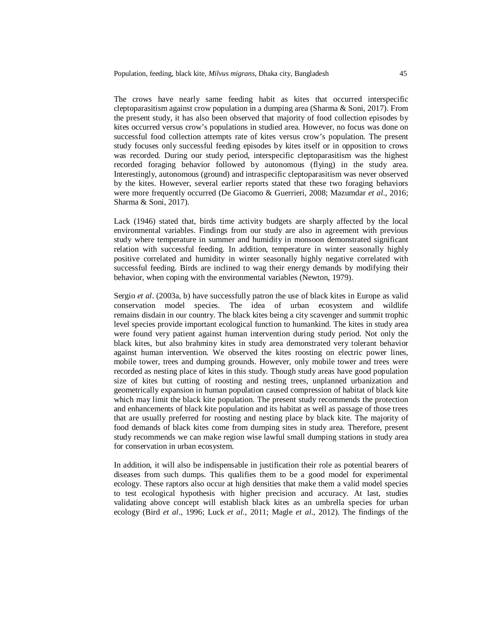The crows have nearly same feeding habit as kites that occurred interspecific cleptoparasitism against crow population in a dumping area (Sharma & Soni, 2017). From the present study, it has also been observed that majority of food collection episodes by kites occurred versus crow's populations in studied area. However, no focus was done on successful food collection attempts rate of kites versus crow's population. The present study focuses only successful feeding episodes by kites itself or in opposition to crows was recorded. During our study period, interspecific cleptoparasitism was the highest recorded foraging behavior followed by autonomous (flying) in the study area. Interestingly, autonomous (ground) and intraspecific cleptoparasitism was never observed by the kites. However, several earlier reports stated that these two foraging behaviors were more frequently occurred (De Giacomo & Guerrieri, 2008; Mazumdar *et al*., 2016; Sharma & Soni, 2017).

Lack (1946) stated that, birds time activity budgets are sharply affected by the local environmental variables. Findings from our study are also in agreement with previous study where temperature in summer and humidity in monsoon demonstrated significant relation with successful feeding. In addition, temperature in winter seasonally highly positive correlated and humidity in winter seasonally highly negative correlated with successful feeding. Birds are inclined to wag their energy demands by modifying their behavior, when coping with the environmental variables (Newton, 1979).

Sergio *et al*. (2003a, b) have successfully patron the use of black kites in Europe as valid conservation model species. The idea of urban ecosystem and wildlife remains disdain in our country. The black kites being a city scavenger and summit trophic level species provide important ecological function to humankind. The kites in study area were found very patient against human intervention during study period. Not only the black kites, but also brahminy kites in study area demonstrated very tolerant behavior against human intervention. We observed the kites roosting on electric power lines, mobile tower, trees and dumping grounds. However, only mobile tower and trees were recorded as nesting place of kites in this study. Though study areas have good population size of kites but cutting of roosting and nesting trees, unplanned urbanization and geometrically expansion in human population caused compression of habitat of black kite which may limit the black kite population. The present study recommends the protection and enhancements of black kite population and its habitat as well as passage of those trees that are usually preferred for roosting and nesting place by black kite. The majority of food demands of black kites come from dumping sites in study area. Therefore, present study recommends we can make region wise lawful small dumping stations in study area for conservation in urban ecosystem.

In addition, it will also be indispensable in justification their role as potential bearers of diseases from such dumps. This qualifies them to be a good model for experimental ecology. These raptors also occur at high densities that make them a valid model species to test ecological hypothesis with higher precision and accuracy. At last, studies validating above concept will establish black kites as an umbrella species for urban ecology (Bird *et al*., 1996; Luck *et al*., 2011; Magle *et al*., 2012). The findings of the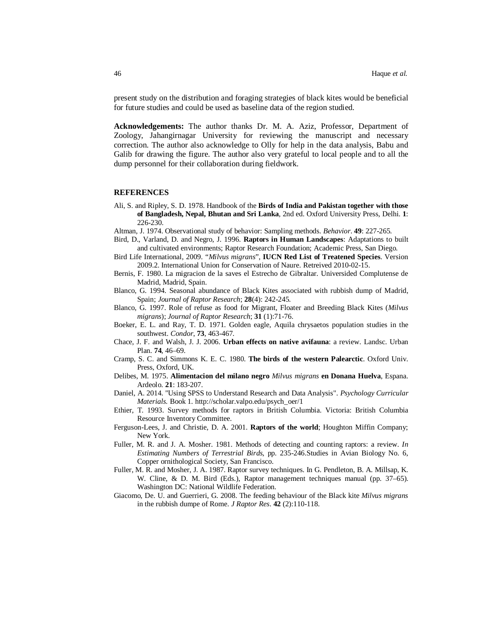present study on the distribution and foraging strategies of black kites would be beneficial for future studies and could be used as baseline data of the region studied.

**Acknowledgements:** The author thanks Dr. M. A. Aziz, Professor, Department of Zoology, Jahangirnagar University for reviewing the manuscript and necessary correction. The author also acknowledge to Olly for help in the data analysis, Babu and Galib for drawing the figure. The author also very grateful to local people and to all the dump personnel for their collaboration during fieldwork.

#### **REFERENCES**

- Ali, S. and Ripley, S. D. 1978. Handbook of the **Birds of India and Pakistan together with those of Bangladesh, Nepal, Bhutan and Sri Lanka**, 2nd ed. Oxford University Press, Delhi. **1**: 226-230.
- Altman, J. 1974. Observational study of behavior: Sampling methods. *Behavior*. **49**: 227-265.
- Bird, D., Varland, D. and Negro, J. 1996. **Raptors in Human Landscapes**: Adaptations to built and cultivated environments; Raptor Research Foundation; Academic Press, San Diego.
- Bird Life International, 2009. "*Milvus migrans*", **IUCN Red List of Treatened Species**. Version 2009.2. International Union for Conservation of Naure. Retreived 2010-02-15.
- Bernis, F. 1980. La migracion de la saves el Estrecho de Gibraltar. Universided Complutense de Madrid, Madrid, Spain.
- Blanco, G. 1994. Seasonal abundance of Black Kites associated with rubbish dump of Madrid, Spain; *Journal of Raptor Research*; **28**(4): 242-245.
- Blanco, G. 1997. Role of refuse as food for Migrant, Floater and Breeding Black Kites (*Milvus migrans*); *Journal of Raptor Research*; **31** (1):71-76.
- Boeker, E. L. and Ray, T. D. 1971. Golden eagle, Aquila chrysaetos population studies in the southwest. *Condor*, **73**, 463-467.
- Chace, J. F. and Walsh, J. J. 2006. **Urban effects on native avifauna**: a review. Landsc. Urban Plan. **74**, 46–69.
- Cramp, S. C. and Simmons K. E. C. 1980. **The birds of the western Palearctic**. Oxford Univ. Press, Oxford, UK.
- Delibes, M. 1975. **Alimentacion del milano negro** *Milvus migrans* **en Donana Huelva**, Espana. Ardeolo. **21**: 183-207.
- Daniel, A. 2014. "Using SPSS to Understand Research and Data Analysis". *Psychology Curricular Materials.* Book 1. http://scholar.valpo.edu/psych\_oer/1
- Ethier, T. 1993. Survey methods for raptors in British Columbia. Victoria: British Columbia Resource Inventory Committee.
- Ferguson-Lees, J. and Christie, D. A. 2001. **Raptors of the world**; Houghton Miffin Company; New York.
- Fuller, M. R. and J. A. Mosher. 1981. Methods of detecting and counting raptors: a review. *In Estimating Numbers of Terrestrial Birds*, pp. 235-246.Studies in Avian Biology No. 6, Copper ornithological Society, San Francisco.
- Fuller, M. R. and Mosher, J. A. 1987. Raptor survey techniques. In G. Pendleton, B. A. Millsap, K. W. Cline, & D. M. Bird (Eds.), Raptor management techniques manual (pp. 37–65). Washington DC: National Wildlife Federation.
- Giacomo, De. U. and Guerrieri, G. 2008. The feeding behaviour of the Black kite *Milvus migrans* in the rubbish dumpe of Rome. *J Raptor Res*. **42** (2):110-118.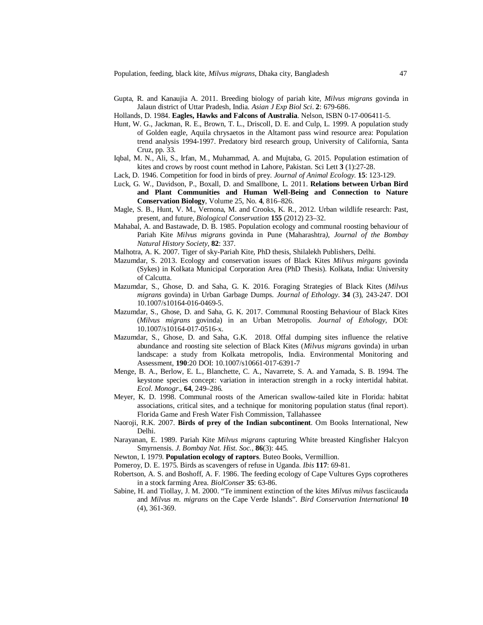- Gupta, R. and Kanaujia A. 2011. Breeding biology of pariah kite, *Milvus migrans* govinda in Jalaun district of Uttar Pradesh, India. *Asian J Exp Biol Sci.* **2**: 679-686.
- Hollands, D. 1984. **Eagles, Hawks and Falcons of Australia**. Nelson, ISBN 0-17-006411-5.
- Hunt, W. G., Jackman, R. E., Brown, T. L., Driscoll, D. E. and Culp, L. 1999. A population study of Golden eagle, Aquila chrysaetos in the Altamont pass wind resource area: Population trend analysis 1994-1997. Predatory bird research group, University of California, Santa Cruz, pp. 33.
- Iqbal, M. N., Ali, S., Irfan, M., Muhammad, A. and Mujtaba, G. 2015. Population estimation of kites and crows by roost count method in Lahore, Pakistan. Sci Lett **3** (1):27-28.
- Lack, D. 1946. Competition for food in birds of prey. *Journal of Animal Ecology*. **15**: 123-129.
- Luck, G. W., Davidson, P., Boxall, D. and Smallbone, L. 2011. **Relations between Urban Bird and Plant Communities and Human Well-Being and Connection to Nature Conservation Biology**, Volume 25, No. **4**, 816–826.
- Magle, S. B., Hunt, V. M., Vernona, M. and Crooks, K. R., 2012. Urban wildlife research: Past, present, and future, *Biological Conservation* **155** (2012) 23–32.
- Mahabal, A. and Bastawade, D. B. 1985. Population ecology and communal roosting behaviour of Pariah Kite *Milvus migrans* govinda in Pune (Maharashtra*), Journal of the Bombay Natural History Society*, **82**: 337.
- Malhotra, A. K. 2007. Tiger of sky-Pariah Kite, PhD thesis, Shilalekh Publishers, Delhi.
- Mazumdar, S. 2013. Ecology and conservation issues of Black Kites *Milvus mirgans* govinda (Sykes) in Kolkata Municipal Corporation Area (PhD Thesis). Kolkata, India: University of Calcutta.
- Mazumdar, S., Ghose, D. and Saha, G. K. 2016. Foraging Strategies of Black Kites (*Milvus migrans* govinda) in Urban Garbage Dumps. *Journal of Ethology*. **34** (3), 243-247. DOI 10.1007/s10164-016-0469-5.
- Mazumdar, S., Ghose, D. and Saha, G. K. 2017. Communal Roosting Behaviour of Black Kites (*Milvus migrans* govinda) in an Urban Metropolis. *Journal of Ethology*, DOI: 10.1007/s10164-017-0516-x.
- Mazumdar, S., Ghose, D. and Saha, G.K. 2018. Offal dumping sites influence the relative abundance and roosting site selection of Black Kites (*Milvus migrans* govinda) in urban landscape: a study from Kolkata metropolis, India. Environmental Monitoring and Assessment, **190**:20 DOI: 10.1007/s10661-017-6391-7
- Menge, B. A., Berlow, E. L., Blanchette, C. A., Navarrete, S. A. and Yamada, S. B. 1994. The keystone species concept: variation in interaction strength in a rocky intertidal habitat. *Ecol. Monogr*., **64**, 249–286.
- Meyer, K. D. 1998. Communal roosts of the American swallow-tailed kite in Florida: habitat associations, critical sites, and a technique for monitoring population status (final report). Florida Game and Fresh Water Fish Commission, Tallahassee
- Naoroji, R.K. 2007. **Birds of prey of the Indian subcontinent**. Om Books International, New Delhi.
- Narayanan, E. 1989. Pariah Kite *Milvus migrans* capturing White breasted Kingfisher Halcyon Smyrnensis. *J. Bombay Nat. Hist. Soc.,* **86**(3): 445.
- Newton, I. 1979. **Population ecology of raptors**. Buteo Books, Vermillion.
- Pomeroy, D. E. 1975. Birds as scavengers of refuse in Uganda. *Ibis* **117**: 69-81.
- Robertson, A. S. and Boshoff, A. F. 1986. The feeding ecology of Cape Vultures Gyps coprotheres in a stock farming Area. *BiolConser* **35**: 63-86.
- Sabine, H. and Tiollay, J. M. 2000. "Te imminent extinction of the kites *Milvus milvus* fasciicauda and *Milvus m. migrans* on the Cape Verde Islands". *Bird Conservation International* **10** (4), 361-369.